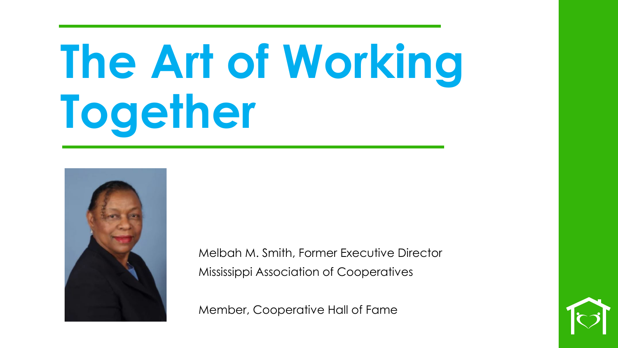## **The Art of Working Together**



Melbah M. Smith, Former Executive Director Mississippi Association of Cooperatives

Member, Cooperative Hall of Fame

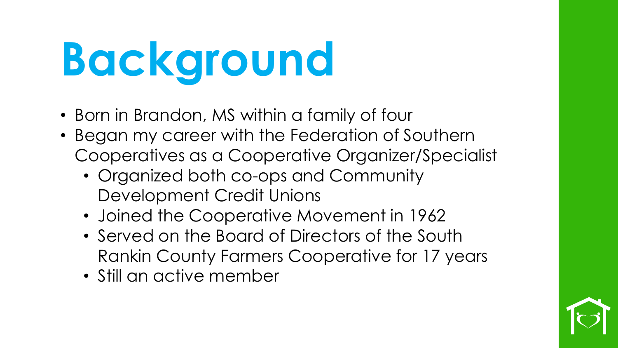## **Background**

- Born in Brandon, MS within a family of four
- Began my career with the Federation of Southern Cooperatives as a Cooperative Organizer/Specialist
	- Organized both co-ops and Community Development Credit Unions
	- Joined the Cooperative Movement in 1962
	- Served on the Board of Directors of the South Rankin County Farmers Cooperative for 17 years
	- Still an active member

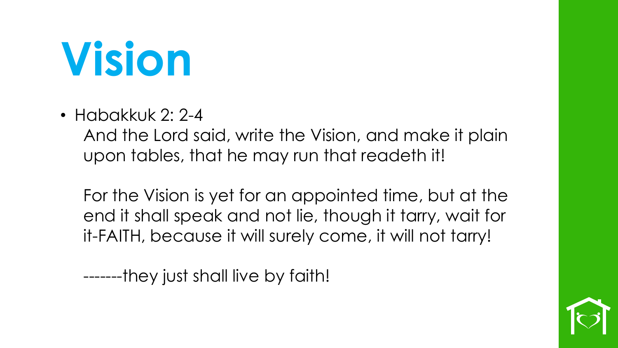#### **Vision**

• Habakkuk 2: 2-4

And the Lord said, write the Vision, and make it plain upon tables, that he may run that readeth it!

For the Vision is yet for an appointed time, but at the end it shall speak and not lie, though it tarry, wait for it-FAITH, because it will surely come, it will not tarry!

-------they just shall live by faith!

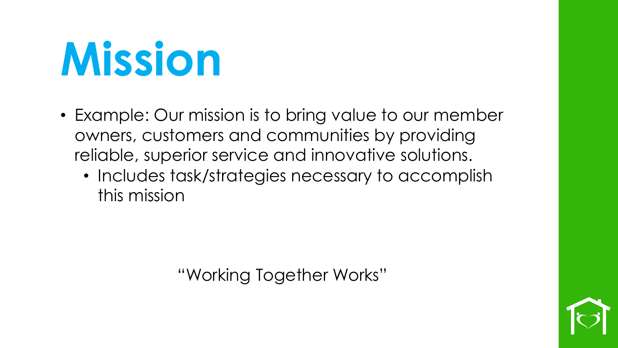#### **Mission**

- Example: Our mission is to bring value to our member owners, customers and communities by providing reliable, superior service and innovative solutions.
	- Includes task/strategies necessary to accomplish this mission

"Working Together Works"

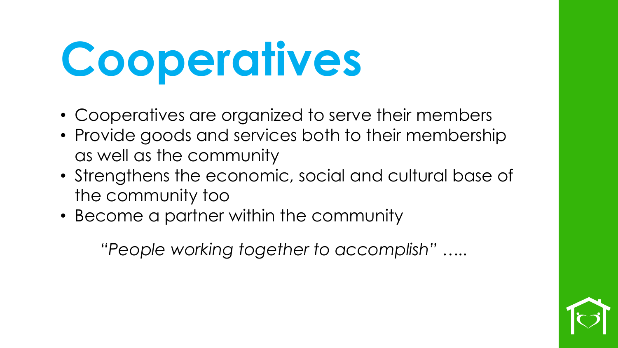## **Cooperatives**

- Cooperatives are organized to serve their members
- Provide goods and services both to their membership as well as the community
- Strengthens the economic, social and cultural base of the community too
- Become a partner within the community

*"People working together to accomplish" …..* 

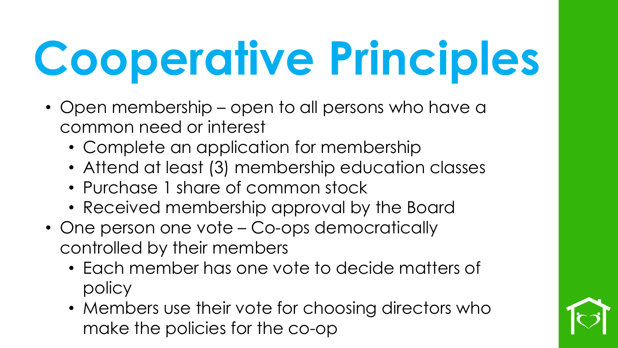- Open membership open to all persons who have a common need or interest
	- Complete an application for membership
	- Attend at least (3) membership education classes
	- Purchase 1 share of common stock
	- Received membership approval by the Board
- One person one vote Co-ops democratically controlled by their members
	- Each member has one vote to decide matters of policy
	- Members use their vote for choosing directors who make the policies for the co-op

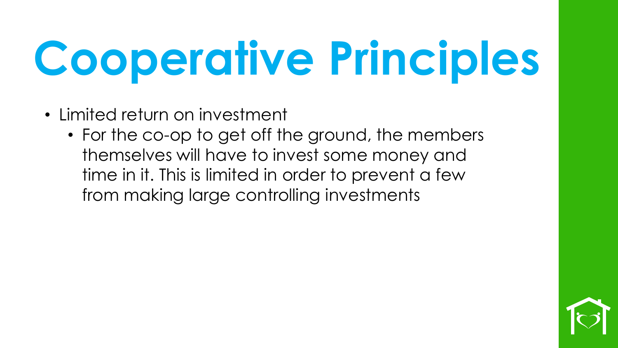- Limited return on investment
	- For the co-op to get off the ground, the members themselves will have to invest some money and time in it. This is limited in order to prevent a few from making large controlling investments

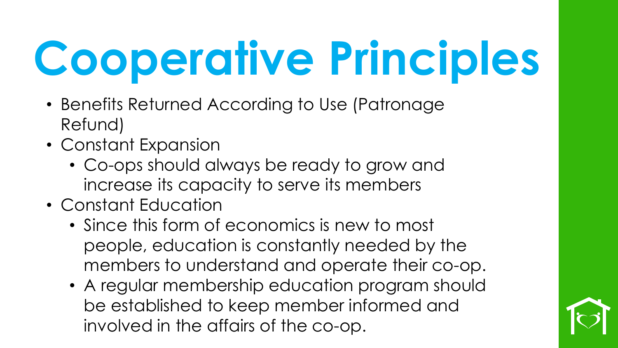- Benefits Returned According to Use (Patronage Refund)
- Constant Expansion
	- Co-ops should always be ready to grow and increase its capacity to serve its members
- Constant Education
	- Since this form of economics is new to most people, education is constantly needed by the members to understand and operate their co-op.
	- A regular membership education program should be established to keep member informed and involved in the affairs of the co-op.

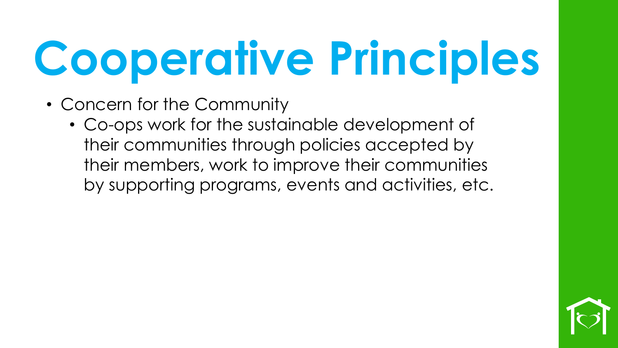- Concern for the Community
	- Co-ops work for the sustainable development of their communities through policies accepted by their members, work to improve their communities by supporting programs, events and activities, etc.

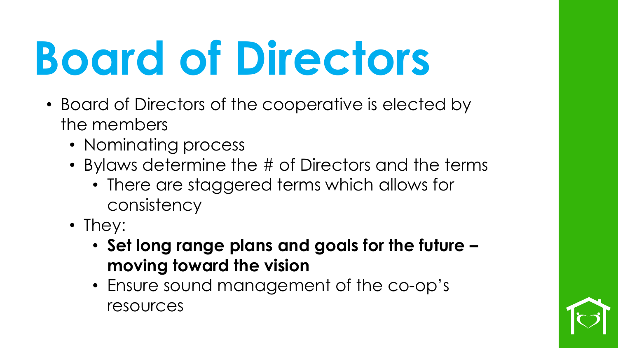#### **Board of Directors**

- Board of Directors of the cooperative is elected by the members
	- Nominating process
	- Bylaws determine the # of Directors and the terms
		- There are staggered terms which allows for consistency
	- They:
		- **Set long range plans and goals for the future – moving toward the vision**
		- Ensure sound management of the co-op's resources

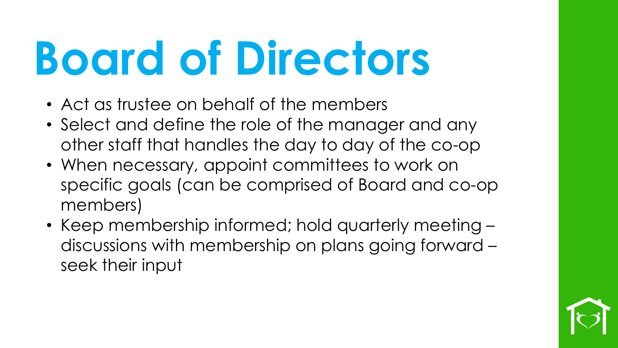#### **Board of Directors**

- Act as trustee on behalf of the members
- Select and define the role of the manager and any other staff that handles the day to day of the co-op
- When necessary, appoint committees to work on specific goals (can be comprised of Board and co-op members)
- Keep membership informed; hold quarterly meeting discussions with membership on plans going forward – seek their input

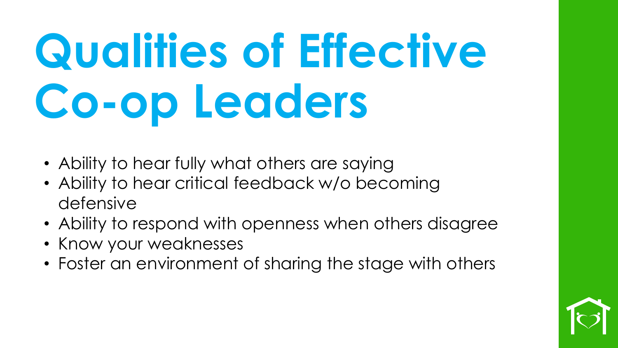## **Qualities of Effective Co-op Leaders**

- Ability to hear fully what others are saying
- Ability to hear critical feedback w/o becoming defensive
- Ability to respond with openness when others disagree
- Know your weaknesses
- Foster an environment of sharing the stage with others

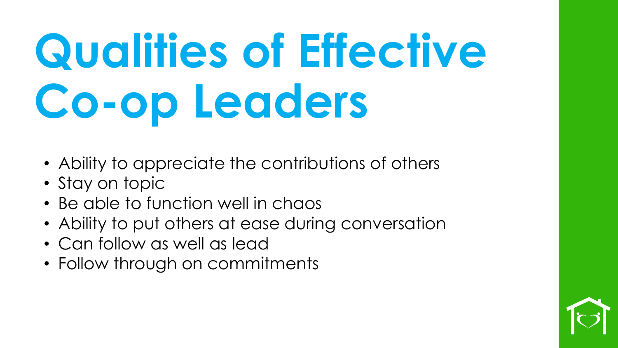## **Qualities of Effective Co-op Leaders**

- Ability to appreciate the contributions of others
- Stay on topic
- Be able to function well in chaos
- Ability to put others at ease during conversation
- Can follow as well as lead
- Follow through on commitments

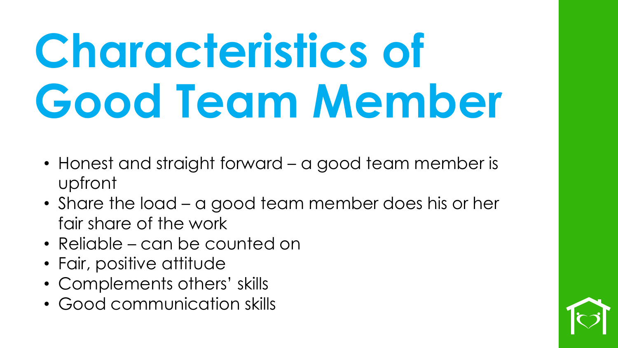### **Characteristics of Good Team Member**

- Honest and straight forward a good team member is upfront
- Share the load a good team member does his or her fair share of the work
- Reliable can be counted on
- Fair, positive attitude
- Complements others' skills
- Good communication skills

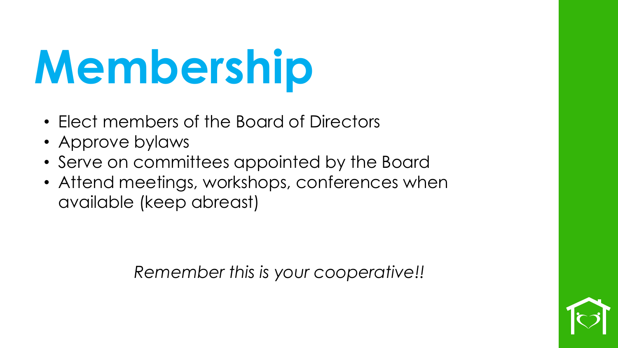### **Membership**

- Elect members of the Board of Directors
- Approve bylaws
- Serve on committees appointed by the Board
- Attend meetings, workshops, conferences when available (keep abreast)

*Remember this is your cooperative!!*